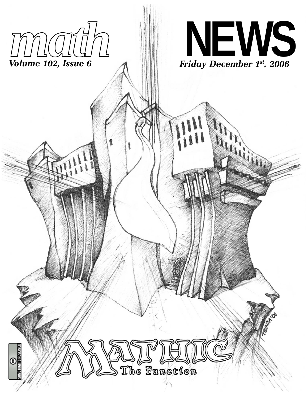



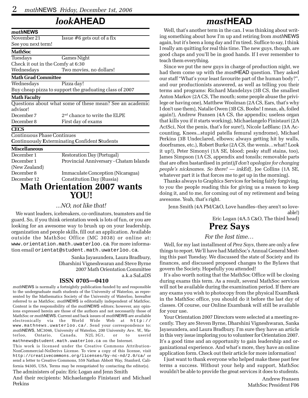## *look***AHEAD**

| mathNEWS                          |                                                          |  |  |
|-----------------------------------|----------------------------------------------------------|--|--|
| November 21                       | Issue $#6$ gets out of a fix                             |  |  |
| See you next term!                |                                                          |  |  |
| <b>MathSoc</b>                    |                                                          |  |  |
| Tuesdays                          | <b>Games Night</b>                                       |  |  |
| Check it out in the Comfy at 6:30 |                                                          |  |  |
| Wednesdays                        | Two movies, no dollars!                                  |  |  |
| <b>Math Grad Committee</b>        |                                                          |  |  |
| Wednesdays                        | Pizza day!                                               |  |  |
|                                   | Buy cheap pizza to support the graduating class of 2007  |  |  |
| <b>Math Faculty</b>               |                                                          |  |  |
|                                   | Questions about what some of these mean? See an academic |  |  |
| advisor!                          |                                                          |  |  |
| December 7                        | $2nd$ chance to write the ELPE                           |  |  |
| December 8                        | First day of exams                                       |  |  |
| <b>CECS</b>                       |                                                          |  |  |
| Continuous Phase Continues        |                                                          |  |  |
|                                   | Continuously Exterminating Confident Students            |  |  |
| <b>Miscellaneous</b>              |                                                          |  |  |
| December 1                        | <b>Restoration Day (Portugal)</b>                        |  |  |
| December 1                        | Provincial Anniversary - Chatam Islands                  |  |  |
| (New Zealand)                     |                                                          |  |  |
| December 8                        | Immaculate Conception (Nicaragua)                        |  |  |
| December 12                       | Constitution Day (Russia)                                |  |  |

### **Math Orientation 2007 wants YOU!**

#### *...NO, not like that!*

We want leaders, icebreakers, co-ordinators, teamsters and tie guard. So, if you think orientation week is lots of fun, or you are looking for an awesome way to brush up on your leadership, organization and people skills, fill out an application. Available outside the MathSoc Office (MC 3038) or online at: www.orientation.math.uwaterloo.ca. For more information email orientat@student.math.uwaterloo.ca.

> Sanka Jayasundera, Laura Bradbury, Dharshini Vigneshwaran and Steve Byrne 2007 Math Orientation Committee

> > a.k.a SaLaDS

#### **ISSN 0705—0410**

*math*NEWS is normally a fortnightly publication funded by and responsible to the undergraduate math students of the University of Waterloo, as represented by the Mathematics Society of the University of Waterloo, hereafter referred to as MathSoc. *math*NEWS is editorially independent of MathSoc. Content is the responsibility of the *math*NEWS editors; however, any opinions expressed herein are those of the authors and not necessarily those of MathSoc or *math*NEWS. Current and back issues of *math*NEWS are available electronically via the World Wide Web at http:// www.mathnews.uwaterloo.ca/. Send your correspondence to: *math*NEWS, MC3046, University of Waterloo, 200 University Ave. W., Waterloo, Ontario, Canada, N2L 3G1, or to userid mathnews@student.math.uwaterloo.ca on the Internet.

This work is licensed under the Creative Commons Attribution-NonCommercial-NoDerivs License. To view a copy of this license, visit http://creativecommons.org/licenses/by-nc-nd/2.0/ca/ or send a letter to Creative Commons, 559 Nathan Abbott Way, Stanford, California 94305, USA. Terms may be renegotiated by contacting the editor(s). The administers of pain: Eric Logan and Jenn Smith

And their recipients: Michaelangelo Finistauri and Michael Perkins

### *mast***HEAD**

Well, that's another term in the can. I was thinking about writing something about how I'm up and retiring from *math*NEWS again, but it's been a long day and I'm tired. Suffice to say, I think I really am quitting for real this time. The new guys, though, are good chaps and you'll be in good hands. If I ever remember to teach them everything.

Since we put the new guys in charge of production night, we had them come up with the *mast*HEAD question. They asked our staff "What's your least favourite part of the human body?", and our productionists answered, as well as telling you their terms and programs: Richard Mandelzys (3B CS, the smallest Anton Markov (2A CS, The mouth; some people abuse the privilege or having one), Matthew Woolman (2A CS, Ears, that's why I don't use them), Natalie Owen (3B CS, Boobs! I mean, ah, foiled again!), Andrew Fransen (4A CS, the appendix; useless organ that kills you if it starts working), Michaelangelo Finistauri (2A ActSci, Not the penis, that's for sure!), Nicole LeBlanc (3A Accounting, Knees...stupid patella femural syndrome), Michael Perkins (3B Undeclared, elbows; always getting hit by walls, doorframes, etc.), Robert Burke (2A CS, the wenis…what? Look it up!), Peter Simonyi (1A SE, blood; pesky stuff stains, too), James Simpson (1A CS, appendix and tonsils; removable parts that are often bastardised in print)*[I don't apologize for changing people's nicknames. So there! — inkEd]*, Joe Collins (1A SE, whatever part it is that forces me to get up in the morning).

Thanks always to Graphics Services for being fairly forgiving, to *you* the people reading this for giving us a reason to keep doing it, and to me, for coming out of my retirement and being awesome. Yeah, that's right.

Jenn Smith (4A PM/C&O, Love handles–they aren't so loveable!)

Eric Logan (4A.5 C&O, The third head)

## **Prez Says**

#### *For the last time…*

Well, for my last installment of *Prez Says*, there are only a few things to report. We'll have had MathSoc's Annual General Meeting this past Tuesday. We discussed the state of Society and its finances, and discussed proposed changes to the Bylaws that govern the Society. Hopefully you attended!

It's also worth noting that the MathSoc Office will be closing during exams this term. As a result, several MathSoc services will not be available during the examination period. If there are any exams you wish to photocopy from the physical ExamBank in the MathSoc office, you should do it before the last day of classes. Of course, our Online Exambank will still be available for your use.

Your Orientation 2007 Directors were selected at a meeting recently. They are Steven Byrne, Dharshini Vigneshwaran, Sanka Jayasundera, and Laura Bradbury. I'm sure they have an article in this very issue imploring you to volunteer for Orientation 2007. It's a good time and an opportunity to gain leadership and organizational experience. And what's more, they have an online application form. Check out their article for more information!

I just want to thank everyone who helped make these past few terms a success. Without your help and support, MathSoc wouldn't be able to provide the great services it does to students.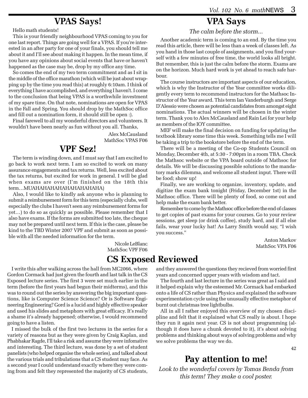### **VPAS Says!**

Hello math students!

This is your friendly neighbourhood VPAS coming to you for one last report. Things are going well for a VPAS. If you're interested in an after party for one of your finals, you should tell me about it and I'll see about making it happen. In the mean time, if you have any opinions about social events that have or haven't happened as the case may be, drop by my office any time.

So comes the end of my two term commitment and as I sit in the middle of the office marathon (which will be just about wrapping up by the time you read this) at roughly 6:10am. I think of everything I have accomplished, and everything I haven't. I come to the conclusion that being VPAS is a worthwhile investment of my spare time. On that note, nominations are open for VPAS in the Fall and Spring. You should drop by the MathSoc office and fill out a nomination form, it should still be open :).

Final farewell to all my wonderful directors and volunteers. It wouldn't have been nearly as fun without you all. Thanks,

> Alex McCausland MathSoc VPAS F06

## **VPF Sez!**

The term is winding down, and I must say that I am excited to go back to work next term. I am so excited to work on many assurance engagements and tax returns. Well, less excited about the tax returns, but excited for work in general. I will be glad when exams are over (I'm finished on the 18th this term…MUAHAHAHAHAHAHAHAHAHA)

Also, I would like to kindly ask anyone who is planning to submit a reimbursement form for this term (especially clubs, well especially the clubs I haven't seen any reimbursement forms for yet…) to do so as quickly as possible. Please remember that I also have exams. If the forms are submitted too late, the cheque may not be prepared until next term. If this is the case, please be kind to the TBD Winter 2007 VPF and submit as soon as possible with all the needed information for the term.

> Nicole LeBlanc MathSoc VPF F06

I write this after walking across the hall from MC2066, where Gordon Cormack had just given the fourth and last talk in the CS Exposed lecture series. The first 3 were set much earlier in the term (before the first years had begun their midterms), and this was to round out the series by answering the big important questions, like is Computer Science Science? Or is Software Engineering Engineering? Gord is a lucid and highly effective speaker and used his slides and metaphors with great efficacy. It's really a shame it's already happened; otherwise, I would recommend going to have a listen.

I missed the bulk of the first two lectures in the series for a variety of reasons but as they were given by Craig Kaplan, and Phabhakar Ragde, I'll take a risk and assume they were infomative and interesting. The third lecture, was done by a set of student panelists (who helped organise the whole series), and talked about the various trials and tribulations that a CS student may face. As a second year I could understand exactly where they were coming from and felt they represented the majority of CS students,

# **VPA Says**

*The calm before the storm...*

Another academic term is coming to an end. By the time you read this article, there will be less than a week of classes left. As you hand in those last couple of assignments, and you find yourself with a few minutes of free time, the world looks all bright. But remember, this is just the calm before the storm. Exams are on the horizon. Much hard work is yet ahead to reach safe harbour.

The course instructors are important aspects of our education, which is why the Instructor of the Year committee works diligently every term to recommend instructors for the Mathsoc Instructor of the Year award. This term Ian Vanderburgh and Serge D'Alessio were chosen as potential candidates from amongst eight nominations. The actual winners will be chosen in the winter term. Thank you to Alex McCausland and Rain Lei for your help as members of the IOY committee.

MEF will make the final decision on funding for updating the textbook library some time this week. Something tells me I will be taking a trip to the bookstore before the end of the term.

There will be a meeting of the Co-op Students Council on Monday, December 4th, at 5:30 - 7:00pm in a room TBA. Check the Mathsoc website or the VPA board outside of Mathsoc for details. We will be discussing possible solutions to the mandatory marks dilemma, and welcome all student input. There will be food; show up!

Finally, we are working to organize, inventory, update, and digitize the exam bank tonight (Friday, December 1st) in the Mathsoc office. There will be plenty of food, so come out and help make the exam bank better.

Remember to come by the Mathsoc office before the end of classes to get copies of past exams for your courses. Go to your review sessions, get sleep (or drink coffee), study hard, and if all else fails, wear your lucky hat! As Larry Smith would say, "I wish you success."

> Anton Markov MathSoc VPA F06

# **CS Exposed Reviewed**

and they answered the questions they recieved from worried first years and concerned upper years with wisdom and tact.

The fourth and last lecture in the series was great as I said and it helped explain why the esteemed Mr. Cormack had embarked onto a life of CS rather than Physics and explained the software experimentation cycle using the unusually effective metaphor of burnt out christmas tree lightbulbs.

All in all I rather enjoyed this overview of my chosen discipline and felt that it explained what CS really is about. I hope they run it again next year. CS is not about programming (although it does have a chunk devoted to it), it's about solving problems and thinking about ways of solving problems and why we solve problems the way we do.

42

## **Pay attention to me!**

*Look to the wonderful covers by Tomas Benda from this term! They make a cool poster.*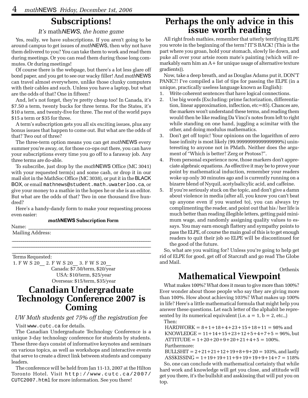# **Subscriptions!**

#### *It's* math*NEWS, the home game*

Yes, really, we have subscriptions. If you aren't going to be around campus to get issues of *math*NEWS, then why not have them delivered to you? You can take them to work and read them during meetings. Or you can read them during those long commutes. Or during meetings!

Of course there is the webpage, but there's a lot less glare off bond paper, and you get to see our wacky filler! And *math*NEWS can travel almost everywhere, unlike those clunky computers with their cables and such. Unless you have a laptop, but what are the odds of that? One in fifteen?

And, let's not forget, they're pretty cheap too! In Canada, it's \$7.50 a term, twenty bucks for three terms. For the States, it's \$10 a term, and twenty-five for three. The rest of the world pays \$15 a term or \$35 for three.

A term's subscription gets you all six exciting issues, plus any bonus issues that happen to come out. But what are the odds of that? Two out of three?

The three-term option means you can get *math*NEWS every summer you're away, or, for those co-ops out there, you can have your subscriptions every time you go off to a faraway job. Any three terms are do-able.

To subscribe, just drop by the *math*NEWS Office (MC 3041) with your requested term(s) and some cash, or drop it in our mail slot in the MathSoc Office (MC 3038), or put it in the BLACK BOX, or email mathnews@student.math.uwaterloo.ca, or give your money to a mathie in the hopes he or she is an editor. But what are the odds of that? Two in one thousand five hundred?

Here's a handy-dandy form to make your requesting process even easier:

 $\mathcal{L}_\text{max}$  and  $\mathcal{L}_\text{max}$  and  $\mathcal{L}_\text{max}$  and  $\mathcal{L}_\text{max}$  and  $\mathcal{L}_\text{max}$  and  $\mathcal{L}_\text{max}$  $\mathcal{L}_\text{max}$  and  $\mathcal{L}_\text{max}$  and  $\mathcal{L}_\text{max}$  and  $\mathcal{L}_\text{max}$  and  $\mathcal{L}_\text{max}$  and  $\mathcal{L}_\text{max}$  $\mathcal{L}_\text{max}$  and  $\mathcal{L}_\text{max}$  and  $\mathcal{L}_\text{max}$  and  $\mathcal{L}_\text{max}$  and  $\mathcal{L}_\text{max}$  and  $\mathcal{L}_\text{max}$ 

#### *math***NEWS Subscription Form**

Name: \_\_\_\_\_\_\_\_\_\_\_\_\_\_\_\_\_\_\_\_\_\_\_\_\_\_\_\_\_\_\_\_\_\_\_\_\_\_\_\_\_\_\_\_\_\_\_\_

Mailing Address:

Terms Requested:

 1. F W S 20\_\_ 2. F W S 20\_\_ 3. F W S 20\_\_ Canada: \$7.50/term, \$20/year USA: \$10/term, \$25/year Overseas: \$15/term, \$35/year

# **Canadian Undergraduate Technology Conference 2007 is Coming**

#### *UW Math students get 75% off the registration fee*

Visit www.cutc.ca for details.

The Canadian Undergraduate Technology Conference is a unique 3-day technology conference for students by students. These three days consist of informative keynotes and seminars on various topics, as well as workshops and interactive events that serve to create a direct link between students and company leaders.

The conference will be held from Jan 11-13, 2007 at the Hilton Toronto Hotel. Visit http://www.cutc.ca/2007/ CUTC2007.html for more information. See you there!

# **Perhaps the only advice in this issue worth reading**

All right frosh mathies, remember that utterly terrifying ELPE you wrote in the beginning of the term? IT'S BACK! (This is the part where you groan, hold your stomach, slowly lie down, and puke all over your artsie room mate's painting (which will remarkably earn him an  $A+$  for unique usage of alternative texture gradients)).

Now, take a deep breath, and as Douglas Adams put it, DON'T PANIC!! I've compiled a list of tips for passing the ELPE (in a unique, practically useless language known as English):

- 1. Write coherent sentences that have logical connections.
- 2. Use big words (Excluding: prime factorization, differentiation, linear approximation, inflection, etc=85). Chances are, the markers won't understand these terms, and reading them would then be like reading Da Vinci's notes from left to right while standing on one hand, juggling a scimitar with the other, and doing modulus mathematics.
- 3. Don't get off topic! Your opinions on the logarithm of zero base infinity is most likely (99.9999999999999999%) uninteresting to anyone not in PMath. Neither does the argument of "Which is better? Zerg or Protoss?".
- 4. From personal experience now, those markers don't appreciate algebraic equations. As effective it may be to prove your point by mathematical induction, remember your readers woke up only 30 minutes ago and is currently running on a bizarre blend of Nyquil, acetylsalicylic acid, and caffeine.
- 5. If you're seriously stuck on the topic, and don't give a damn about violence in media (after all, you know you can't beat up anyone even if you wanted to), you can always try complimenting the reader, and point out that his / her life is much better than reading illegible letters, getting paid minimum wage, and randomly assigning quality values to essays. You may earn enough flattery and sympathy points to pass the ELPE, of course the main goal of this is to get enough readers to quit their job so ELPE will be discontinued for the good of the future.

So, what are you waiting for? Unless you're going to help get rid of ELPE for good, get off of Starcraft and go read The Globe and Mail.

Orthenix

# **Mathematical Viewpoint**

What makes 100%? What does it mean to give more than 100%? Ever wonder about those people who say they are giving more than 100%. How about achieving 103%? What makes up 100% in life? Here's a little mathematical formula that might help you answer these questions. Let each letter of the alphabit be represented by its numerical equivalent (i.e.  $a = 1$ ,  $b = 2$ , etc.,) Then:

 $HARDWORK = 8+1+18+4+23+15+18+11 = 98\%$  and KNOWLEDGE =  $11+14+15+23+12+5+4+7+5 = 96\%$ , but  $ATTITUDE = 1 + 20 + 20 + 9 + 20 + 21 + 4 + 5 = 100\%.$ Furthermore:

BULLSHIT =  $2+21+21+12+19+8+9+20 = 103\%$ , and lastly ASSKISSING =  $1+19+19+11+9+19+19+9+14+7 = 118\%$ 

So, one can conclude with mathematical certainty that while hard work and knowledge will get you close, and attitude will get you there, it's the bullshit and asskissing that will put you on top.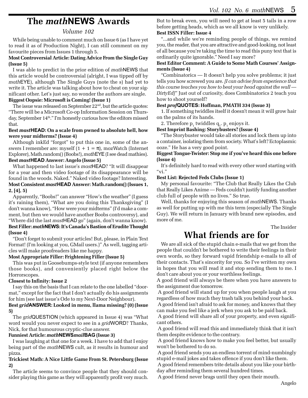# **The** *math***NEWS Awards**

#### *Volume 102*

While being unable to comment much on Issue 6 (as I have yet to read it as of Production Night), I can still comment on my favourite pieces from Issues 1 through 5.

#### **Most Controversial Article: Dating Advice From the Single Guy (Issue 5)**

I was able to predict in the prior edition of *math*NEWS that this article would be controversial (alright, I was tipped off by *math*EYE), although The Single Guys (note the s) had yet to write it. The article was talking about how to cheat on your significant other. Let's just say, no wonder the authors are single. **Biggest Oopsie: Microsoft is Coming! (Issue 1)**

The issue was released on September  $22<sup>nd</sup>$ , but the article quotes: "There will be a Microsoft Co-op Information Session on Thursday, September 14<sup>th</sup>." I'm honestly curious how the editors missed that.

#### **Best** *mast***HEAD: On a scale from pwned to absolute hell, how were your midterms? (Issue 4)**

Although inkEd "forgot" to put this one in, some of the answers I remember are: myself  $(1 + 1 = \pi)$ , mozWatch (Internet Explorer), Math.random() (Boobs!), *math*EYE (I see dead mathies). **Best** *mast***HEAD Answer: Angelo (Issue 5)**

#### What happened to last issue's *mast*HEAD? "It will disappear for a year and then video footage of its disappearance will be found in the woods. Naked." Naked video footage? Interesting.

**Most Consistent** *mast***HEAD Answer: Math.random() (Issues 1, 2, [4], 5)**

Apparently, "Boobs!" can answer "How's the weather" (I guess it's raining them), "What are you doing this Thanksgiving" (I don't wanna know), "How were your midterms" (I'd make a comment, but then we would have another Boobs controversy), and "Where did the last *mast*HEAD go" (again, don't wanna know).

#### **Best Filler:** *math***NEWS: It's Canada's Bastion of Erudite Thought (Issue 4)**

"Don't forget to submit your articles! But, please, in Plain Text Format! (I'm looking at you, GMail users.)" As well, tagging articles will make proofreaders like me happy.

#### **Most Appropriate Filler: Frightening Filler (Issue 5)**

This was put in Goosebumps-style text (if anyone remembers those books), and conveniently placed right below the Horrorscopes.

#### **Closest to Infinity: Issue 2**

I say this on the basis that I can relate to the one labelled "doormat," except for the fact that I don't actually do his assignments for him (see last issue's Ode to my Next-Door Neighbour).

#### **Best** *grid***ANSWER: Looked in menu, llama missing? (0) (Issue 5)**

The *grid*QUESTION (which appeared in Issue 4) was "What word would you never expect to see in a *grid*WORD? Thanks, Nick, for that humourous cryptic-clue answer.

#### **Funniest Article:** *math***NEWS***mail***BAG (Issue 3)**

I was laughing at that one for a week. I have to add that I enjoy being part of the *math*NEWS cult, as it results in humour and pizza.

#### **Trickiest Math: A Nice Little Game From St. Petersburg (Issue 2)**

The article seems to convince people that they should consider playing this game as they will apparently profit very much.

But to break even, you will need to get at least 5 tails in a row before getting heads, which as we all know is very unlikely. **Best ISSN Filler: Issue 4**

"...and while we're reminding people of things, we remind you, the reader, that you are attractive and good-looking, not least of all because you're taking the time to read this puny text that is ordinarily quite ignorable." Need I say more?

#### **Best Editor Comment: A Guide to Some Math Courses' Assignments (Issue 4)**

"Combinatorics — It doesn't help you solve problems; it just tells you how screwed you are. *[I can advise from experience that this course teaches you how to beat your head against the wall — DirtyEd]*" Just out of curiosity, does Combinatorics 2 teach you how to shoot yourself?

#### **Best** *prof***QUOTES: Hoffman, PMATH 334 (Issue 3)**

1. If something twiddles itself it doesn't mean it will grow hair on the palms of its hands.

2. Therefore  $p_1$  twiddles  $q_1$ .  $p_1$  enjoys it.

#### **Best Imprint Bashing: Storybusters? (Issue 4)**

"The Storybuster would take all stories and lock them up into a container, isolating them from society. What's left? Ectoplasmic ooze." He has a very good point.

#### **Biggest Tongue-Twister: Stop me if you've heard this one before (Issue 4)**

It's definitely hard to read with every other word starting with " $\rm vi.$ "

#### **Best List: Rejected Feds Clubs (Issue 1)**

My personal favourite: "The Club that Really Likes the Club that Really Likes Anime — Feds couldn't justify funding another club full of people with no lives." So true.

Well, thanks for enjoying this season of *math*NEWS. Thanks as well for putting up with me this term (especially The Single Guy). We will return in January with brand new episodes, and more of me.

The Insider

# **What friends are for**

We are all sick of the stupid chain e-mails that we get from the people that couldn't be bothered to write their feelings in their own words, so they forward vapid friendship e-mails to all of their contacts. That's sincerity for you. So I've written my own in hopes that you will read it and stop sending them to me. I don't care about you or your worthless feelings.

A good friend will always be there when you have answers to the assignment due tomorrow.

 A good friend will stand up for you when people laugh at you regardless of how much they trash talk you behind your back.

 A good friend isn't afraid to ask for money, and knows that they can make you feel like a jerk when you ask to be paid back.

 A good friend will share all of your property, and even significant others.

 A good friend will read this and immediately think that it isn't them despite evidence to the contrary.

 A good friend knows how to make you feel better, but usually won't be bothered to do so.

 A good friend sends you an endless torrent of mind-numbingly stupid e-mail jokes and takes offence if you don't like them.

 A good friend remembers trite details about you like your birthday after reminding them several hundred times.

A good friend never brags until they open their mouth.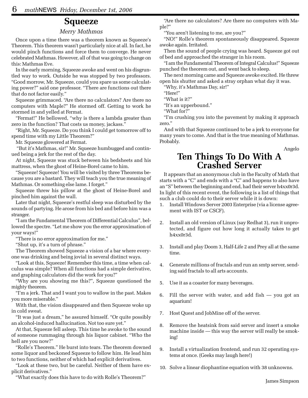# **Squeeze**

#### *Merry Mathmas*

Once upon a time there was a theorem known as Squeeze's Theorem. This theorem wasn't particularly nice at all. In fact, he would pinch functions and force them to converge. He never celebrated Mathmas. However, all of that was going to change on this: Mathmas Eve.

In the early morning, Squeeze awoke and went on his disgruntled way to work. Outside he was stopped by two professors. "Good morrow, Mr. Squeeze, could you spare us some calculating power?" said one professor. "There are functions out there that do not factor easily."

Squeeze grimmaced. "Are there no calculators? Are there no computers with Maple?" He stormed off. Getting to work he stormed in and yelled at Fermat.

"Fermat!" He bellowed, "why is there a lambda greater than zero in the function? That costs us money, jackass."

"Right, Mr. Squeeze. Do you think I could get tomorrow off to spend time with my Little Theorem?"

Mr. Squeeze glowered at Fermat.

 "But it's Mathmas, sir!" Mr. Squeeze humbugged and continued being a jerk for the rest of the day.

At night, Squeeze was stuck between his bedsheets and his mattress, when the ghost of Heine-Borel came to him.

"Squeeze! Squeeze! You will be visited by three Theorems because you are a bastard. They will teach you the true meaning of Mathmas. Or something else lame. I forget."

Squeeze threw his pillow at the ghost of Heine-Borel and pinched him against the wall.

Later that night, Squeeze's restful sleep was disturbed by the sounds of partying. He arose from his bed and before him was a stranger.

"I am the Fundamental Theorem of Differential Calculus", bellowed the spectre. "Let me show you the error approximation of your ways!"

"There is no error approximation for me."

"Shut up, it's a turn of phrase."

The Theorem showed Squeeze a vision of a bar where everyone was drinking and being jovial in several distinct ways.

"Look at this, Squeeze! Remember this time, a time when calculus was simple? When all functions had a simple derivative, and graphing calculators did the work for you?"

"Why are you showing me this?", Squeeze questioned the mighty theorem.

"I'm a jerk. That and I want you to wallow in the past. Makes you more miserable."

With that, the vision disappeared and then Squeeze woke up in cold sweat.

"It was just a dream," he assured himself. "Or quite possibly an alcohol-induced hallucination. Not too sure yet."

At that, Squeeze fell asleep. This time he awoke to the sound of someone rummaging through his liquor cabinet. "Who the hell are you now?"

"Rolle's Theorem." He burst into tears. The theorem downed some liquor and beckoned Squeeze to follow him. He lead him to two functions, neither of which had explicit derivatives.

"Look at these two, but be careful. Neither of them have explicit derivatives."

"What exactly does this have to do with Rolle's Theorem?"

"Are there no calculators? Are there no computers with Maple?"

"You aren't listening to me, are you?"

"NO!" Rolle's theorem spontaneously disappeared. Squeeze awoke again. Irritated.

Then the sound of people crying was heard. Squeeze got out of bed and approached the stranger in his room.

"I am the Fundamental Theorem of Integral Calculus!" Squeeze punched the theorem out, and went back to sleep.

The next morning came and Squeeze awoke excited. He threw open his shutter and asked a stray orphan what day it was.

"Why, it's Mathmas Day, sir!"

"Here!"

"What is it?"

"It's an upperbound."

"What for?"

"I'm crushing you into the pavement by making it approach zero."

And with that Squeeze continued to be a jerk to everyone for many years to come. And that is the true meaning of Mathmas. Probably.

Angelo

# **Ten Things To Do With A Crashed Server**

It appears that an anonymous club in the Faculty of Math that starts with a "C" and ends with a "C" and happens to also have an "S" between the beginning and end, had their server h4xx0r3d. In light of this recent event, the following is a list of things that such a club could do to their server while it is down:

- 1. Install Windows Server 2003 Enterprise (via a license agreement with IST or CSCF).
- 2. Install an old version of Linux (say Redhat 3), run it unprotected, and figure out how long it actually takes to get h4xx0r3d.
- 3. Install and play Doom 3, Half-Life 2 and Prey all at the same time.
- 4. Generate millions of fractals and run an smtp server, sending said fractals to all arts accounts.
- 5. Use it as a coaster for many beverages.
- 6. Fill the server with water, and add fish you got an aquarium!
- 7. Host Quest and JobMine off of the server.
- 8. Remove the heatsink from said server and insert a smoke machine inside — this way the server will really be smoking!
- 9. Install a virtualization frontend, and run 32 operating systems at once. (Geeks may laugh here!)
- 10. Solve a linear diophantine equation with 38 unknowns.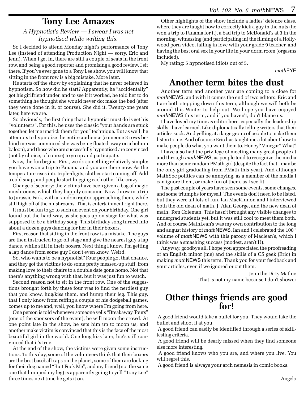### **Tony Lee Amazes**

#### *A Hypnotist's Review — I swear I was not hypnotised while writing this.*

So I decided to attend Monday night's performance of Tony Lee (instead of attending Production Night — sorry, Eric and Jenn). When I get in, there are still a couple of seats in the front row, and being a good reporter and promising a good review, I sit there. If you've ever gone to a Tony Lee show, you will know that sitting in the front row is a big mistake. More later.

He starts off the show by explaining that he never believed in hypnotism. So how did he start? Apparently, he "accidentally" got his girlfriend under, and to see if it worked, he told her to do something he thought she would never do: make the bed (after they were done in it, of course). She did it. Twenty-one years later, here we are.

So obviously, the first thing that a hypnotist must do is get his "volunteers". For this, he uses the classic "your hands are stuck together, let me unstick them for you" technique. But as well, he attempts to hypnotise the entire audience (someone 3 rows behind me was convinced she was being floated away on a helium baloon), and those who are successfully hypnotised are convinced (not by choice, of course) to go up and participate.

Now, the fun begins. First, we do something relatively simple: you have won a trip to Panama and you are there now. As the temperature rises into triple-digits, clothes start coming off. Add a cold snap, and people start hugging each other like crazy.

Change of scenery: the victims have been given a bag of magic mushrooms, which they happily consume. Now throw in a trip to Jurassic Park, with a random raptor approaching them, while still high off of the mushrooms. That is entertainment right there.

It must be fun to go to such an event on your birthday. One girl found out the hard way, as she goes up on stage for what was supposed to be a birthday song. This birthday song turned into about a dozen guys dancing for her in their boxers.

First reason that sitting in the front row is a mistake. The guys are then instructed to go off stage and give the nearest guy a lap dance, while still in their boxers. Next thing I know, I'm getting a lap dance from some guy I don't even know. Weird.

So, who wants to be a hypnotist? Four people got that chance, and they got the victims to do some pretty messed-up stuff, from making love to their chairs to a double date gone homo. Not that there's anything wrong with that, but it was just fun to watch.

Second reason not to sit in the front row. One of the suggestions brought forth by these four was to find the nerdiest guy that you know, hug/kiss them, and hump their leg. This guy, that I only know from reffing a couple of his dodgeball games, comes up to me and, well, you know where I'm going from here.

One person is told whenever someone yells "Breakaway Tours" (one of the sponsors of the event), he will moon the crowd. At one point late in the show, he sets him up to moon us, and another make victim is convinced that this is the face of the most beautiful girl in the world. One long kiss later, hie's still convinced that it's true.

At the end of the show, the victims were given some instructions. To this day, some of the volunteers think that their boxers are the best baseball caps on the planet, some of them are looking for their dog named "Butt Fuck Me", and my friend (not the same one that humped my leg) is apparently going to yell "Tony Lee" three times next time he gets it on.

Other highlights of the show include a ladies' defence class, where they are taught how to correctly kick a guy in the nuts (he won a trip to Panama for it), a bad trip to McDonald's at 3 in the morning, witnessing (and participating in) the filming of a Hollywood porn video, falling in love with your grade 9 teacher, and having the best oral sex in your life in your dorm room (orgasms included).

My rating: 5 hypnotised idiots out of 5.

*math*EYE

# **Another term bites the dust**

Another term and another year are coming to a close for *math*NEWS, and with it comes the end of two editors. Eric and I are both stepping down this term, although we will both be around this Winter to help out. We hope you have enjoyed *math*NEWS this term, and if you haven't, don't blame us.

I have loved my time as editor here, especially the leadership skills I have learned. Like diplomatically telling writers that their articles suck. And yelling at a large group of people to make them listen to me. And of course Eric has taught me a lot about how to make people do what you want them to. Honey? Vinegar? What?

I have also had the privilege of meeting many great people at and through *math*NEWS, as people tend to recognize the media more than some random PMath girl (despite the fact that I may be the only girl graduating from PMath this year). And although MathSoc politics can be annoying, as a member of the media I can ignore them, or make fun of them, as I see fit.

The past couple of years have seen some events, some changes, and some triumphs for myself. The events don't need to be listed, but they were all lots of fun. Ian MacKinnon and I interviewed both the old dean of math, J. Alan George, and the new dean of math, Tom Coleman. This hasn't brought any visible changes to undergrad students yet, but it was still cool to meet them both. And of course MathLean's was my own contribution to the long and august history of *math*NEWS. Ian and I celebrated the 100<sup>th</sup> volume of *math*NEWS with this parody of Maclean's, which I think was a smashing success (modest, aren't I?).

Anyway, goodbye all, I hope you appreciated the proofreading of an English minor (me) and the skills of a CS geek (Eric) in making *math*NEWS this term. Thank you for your feedback and your articles, even if we ignored or cut them.

> Jenn the Dirty Mathie That is not my name because I don't shower

# **Other things friends are good for!**

 A good friend would take a bullet for you. They would take the bullet and shoot it at you.

 A good friend can easily be identified through a series of skilltesting criteria.

 A good friend will be dearly missed when they find someone else more interesting.

 A good friend knows who you are, and where you live. You will regret this.

A good friend is always your arch nemesis in comic books.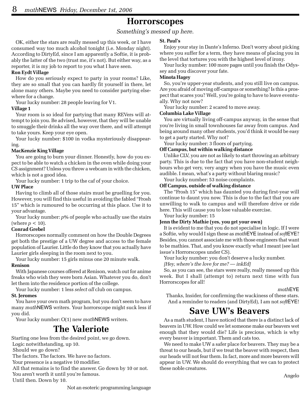### **Horrorscopes**

#### *Something's messed up here.*

OK, either the stars are really messed up this week, or I have consumed way too much alcohol tonight (i.e. Monday night). According to DirtyEd, since I am apparently a Softie, it is probably the latter of the two (trust me, it's not). But either way, as a reporter, it is my job to report to you what I have seen.

#### **Ron Eydt Village**

How do you seriously expect to party in your rooms? Like, they are so small that you can hardly fit yourself in there, let alone many others. Maybe you need to consider partying elsewhere for a change.

Your lucky number: 28 people leaving for V1.

#### **Village 1**

Your room is so ideal for partying that many REVers will attempt to join you. Be advised, however, that they will be unable to smuggle their drinks all the way over there, and will attempt to take yours. Keep your eye open.

Your lucky number: \$100 in vodka mysteriously disappearing.

#### **MacKenzie King Village**

You are going to burn your dinner. Honestly, how do you expect to be able to watch a chicken in the oven while doing your CS assignment? Unless you throw a webcam in with the chicken, which is not a good idea.

Your lucky number: 1 trip to the caf of your choice.

#### **UW Place**

Having to climb all of those stairs must be gruelling for you. However, you will find this useful in avoiding the fabled "Frosh 15" which is rumoured to be occurring at this place. Use it to your advantage.

Your lucky number:  $p\%$  of people who actually use the stairs (where  $p < 10$ ).

#### **Conrad Grebel**

Horrorscopes normally comment on how the Double Degrees get both the prestige of a UW degree and access to the female population of Laurier. Little do they know that you actually have Laurier girls sleeping in the room next to you.

Your lucky number: 15 girls minus one 20 minute walk.

#### **Renison**

With Japanese courses offered at Renison, watch out for anime freaks who wish they were born Asian. Whatever you do, don't let them into the residence portion of the college.

Your lucky number: 1 less *select all* club on campus.

#### **St. Jeromes**

You have your own math program, but you don't seem to have many *math*NEWS writers. Your horrorscope might suck less if you did.

Your lucky number: O(1) new *math*NEWS writers.

# **The Valeriote**

Starting one less from the desired point, we go down.

Logic notwithstanding, up 10.

Should we go down?

The factors. The factors. We have no factors.

Your presence is a negative 10 modifier.

 All that remains is to find the answer. Go down by 10 or not. You aren't worth it until you're famous.

Until then. Down by 10.

Enjoy your stay in Dante's Inferno. Don't worry about picking where you suffer for a term, they have means of placing you in the level that tortures you with the highest level of irony.

Your lucky number: 100 more pages until you finish the Odyssey and you discover your fate.

#### **Minota Hagey**

So, you're upper-year students, and you still live on campus. Are you afraid of moving off-campus or something? Is this a prospect that scares you? Well, you're going to have to leave eventually. Why not now?

Your lucky number: 2 scared to move away.

#### **Columbia Lake Village**

You are virtually living off-campus anyway, in the sense that you're living in small townhouses far away from campus. And being around many other students, you'd think it would be easy to get a party started. Why not?

Your lucky number: 3 floors of partying.

#### **Off Campus, but within walking distance**

Unlike CLV, you are not as likely to start throwing an arbitrary party. This is due to the fact that you have non-student neighbours who get very, very angry when you have the music even audible. I mean, what's a party without blaring music?

Your lucky number: 53 noise complaints.

#### **Off Campus, outside of walking distance**

The "Frosh 15" which has daunted you during first-year will continue to daunt you now. This is due to the fact that you are unwilling to walk to campus and will therefore drive or ride here. This will cause you to lose valuable exercise.

Your lucky number: 15

#### **Jenn the Dirty Mathie (yes, you get your own)**

It is evident to me that you do not specialise in logic. If I were a Softie, why would I sign these as *math*EYE instead of *soft*EYE? Besides, you cannot associate me with those engineers that want to be mathies. That, and you know exactly what I meant (see last issue's Horrorscopes under CS).

Your lucky number: you don't deserve a lucky number.

*[Hey, where's the love for me? — inkEd]*

So, as you can see, the stars were really, really messed up this week. But I shall (attempt to) return next time with fun Horrorscopes for all!

#### *math*EYE

Thanks, Insider, for confirming the wackiness of these stars. And a reminder to readers (and DirtyEd), I am not *soft*EYE!

# **Save UW's Beavers**

As a math student, I have noticed that there is a distinct lack of beavers in UW. How could we let someone make our beavers wet enough that they would die? Life is precious, which is why every beaver is important. Them and cats too.

We need to make UW a safer place for beavers. They may be a threat to our heads, but if we treat the beaver with respect, then our heads will not fear them. In fact, more and more beavers will appear in UW. We should do everything that we can to protect these noble creatures.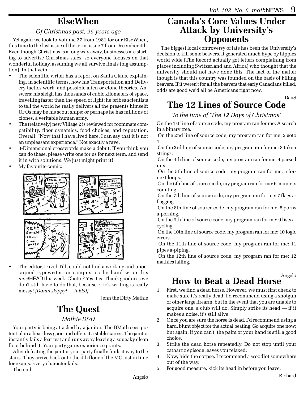# **ElseWhen**

#### *Of Christmas past, 25 years ago*

Yet again we look to Volume 27 from 1981 for our ElseWhen, this time to the last issue of the term, issue 7 from December 4th. Even though Christmas is a long way away, businesses are starting to advertise Christmas sales, so everyone focuses on that wonderful holiday, assuming we all survive finals (big assumption). In that vein …

- The scientific writer has a report on Santa Claus, explaining, in scientific terms, how his Transportation and Delivery tactics work, and possible alien or clone theories. Answers: his sleigh has thousands of cubic kilometers of space, travelling faster than the speed of light; he bribes scientists to tell the world he really delivers all the presents himself; UFOs may be his scout ships; or perhaps he has millions of clones, a veritable human army.
- The (relatively) new Village 2 is reviewed for roommate compatibility, floor dynamics, food choices, and reputation. Overall: "Now that I have lived here, I can say that it is not an unpleasant experience." Not exactly a rave.
- 3-Dimensional crosswords make a debut. If you think you can do these, please write one for us for next term, and send it in with solutions. We just might print it!
- My favourite comic:



The editor, David Till, could not find a working and unoccupied typewriter on campus, so he hand wrote his *mast*HEAD this week. Ghetto? Yes it is. Thank goodness we don't still have to do that, because Eric's writing is really messy! *[Damn skippy! — inkEd]*

Jenn the Dirty Mathie

# **The Quest**

#### *Mathie D&D*

Your party is being attacked by a janitor. The BMath sees potential in a heartless goon and offers it a stable career. The janitor instantly fails a fear test and runs away leaving a squeaky clean floor behind it. Your party gains experience points.

After defeating the janitor your party finally finds it way to the stairs. They arrive back onto the 4th floor of the MC just in time for exams. Every character fails.

The end.

## **Canada's Core Values Under Attack by University's Opponents**

The biggest local controversy of late has been the University's decision to kill some beavers. It generated much hype by hippies world wide (The Record actually got letters complaining from places including Switzerland and Africa) who thought that the university should not have done this. The fact of the matter though is that this country was founded on the basis of killing beavers. If it weren't for all the beavers that early Canadians killed, odds are good we'd all be Americans right now.

DanS

# **The 12 Lines of Source Code**

#### *To the tune of 'The 12 Days of Christmas'*

On the 1st line of source code, my program ran for me: A search in a binary tree.

 On the 2nd line of source code, my program ran for me: 2 goto 1.

 On the 3rd line of source code, my program ran for me: 3 token strings.

 On the 4th line of source code, my program ran for me: 4 parsed ints.

 On the 5th line of source code, my program ran for me: 5 fornext loops.

 On the 6th line of source code, my program ran for me: 6 counters counting.

 On the 7th line of source code, my program ran for me: 7 flags aflagging.

 On the 8th line of source code, my program ran for me: 8 porns a-porning.

 On the 9th line of source code, my program ran for me: 9 lists acycling.

 On the 10th line of source code, my program ran for me: 10 logic errors.

 On the 11th line of source code, my program ran for me: 11 pipes a-piping.

 On the 12th line of source code, my program ran for me: 12 mathies failing.

Angelo

# **How to Beat a Dead Horse**

- 1. First, we find a dead horse. However, we must first check to make sure it's really dead. I'd recommend using a shotgun or other large firearm, but in the event that you are unable to acquire one, a club will do. Simply strike its head — if it makes a noise, it's still alive.
- 2. Once you are sure the horse is dead, I'd recommend using a hard, blunt object for the actual beating. Go acquire one now; but again, if you can't, the palm of your hand is still a good choice.
- 3. Strike the dead horse repeatedly. Do not stop until your cathartic episode leaves you relaxed.
- 4. Now, hide the corpse. I recommend a woodlot somewhere out of the way.
- 5. For good measure, kick its head in before you leave.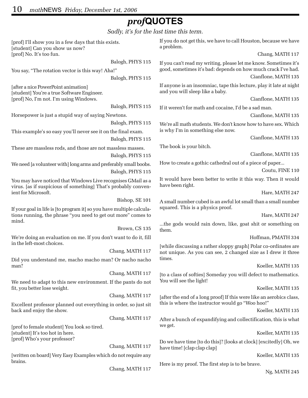# *prof***QUOTES**

*Sadly, it's for the last time this term.*

[prof] I'll show you in a few days that this exists. [student] Can you show us now? [prof] No. It's too fun.

Balogh, PHYS 115

You say, "The rotation vector is this way! Aha!"

Balogh, PHYS 115

[after a nice PowerPoint animation] [student] You're a true Software Engineer. [prof] No, I'm not. I'm using Windows.

Balogh, PHYS 115

Horsepower is just a stupid way of saying Newtons.

Balogh, PHYS 115

This example's so easy you'll never see it on the final exam. Balogh, PHYS 115

These are massless rods, and those are not massless masses. Balogh, PHYS 115

We need [a volunteer with] long arms and preferably small boobs. Balogh, PHYS 115

You may have noticed that Windows Live recognises GMail as a virus. [as if suspicious of something] That's probably convenient for Microsoft.

Bishop, SE 101

If your goal in life is [to program it] so you have multiple calculations running, the phrase "you need to get out more" comes to mind.

Brown, CS 135 We're doing an evaluation on me. If you don't want to do it, fill in the left-most choices.

Chang, MATH 117

Did you understand me, macho macho man? Or nacho nacho man?

Chang, MATH 117

We need to adapt to this new environment. If the pants do not fit, you better lose weight.

Chang, MATH 117

Excellent professor planned out everything in order, so just sit back and enjoy the show.

Chang, MATH 117

[prof to female student] You look so tired. [student] It's too hot in here. [prof] Who's your professor?

Chang, MATH 117

[written on board] Very Easy Examples which do not require any brains.

Chang, MATH 117

If you do not get this, we have to call Houston, because we have a problem.

Chang, MATH 117

If you can't read my writing, please let me know. Sometimes it's good, sometimes it's bad: depends on how much crack I've had. Cianflone, MATH 135

If anyone is an insomniac, tape this lecture, play it late at night and you will sleep like a baby.

Cianflone, MATH 135

If it weren't for math and cocaine, I'd be a sad man.

Cianflone, MATH 135

We're all math students. We don't know how to have sex. Which is why I'm in something else now.

Cianflone, MATH 135

The book is your bitch.

Cianflone, MATH 135

How to create a gothic cathedral out of a piece of paper...

Coutu, FINE 110

It would have been better to write it this way. Then it would have been right.

Hare, MATH 247

A small number cubed is an awful lot small than a small number squared. This is a physics proof.

Hare, MATH 247

...the gods would rain down, like, goat shit or something on them.

#### Hoffman, PMATH 334

[while discussing a rather sloppy graph] Polar co-ordinates are not unique. As you can see, 2 changed size as I drew it three times.

#### Koeller, MATH 135

[to a class of softies] Someday you will defect to mathematics. You will see the light!

#### Koeller, MATH 135

[after the end of a long proof] If this were like an aerobics class, this is where the instructor would go "Woo hoo!"

Koeller, MATH 135

After a bunch of expandifying and collectification, this is what we get.

Koeller, MATH 135

Do we have time [to do this]? [looks at clock] [excitedly] Oh, we have time! [clap clap clap]

Koeller, MATH 135

Here is my proof. The first step is to be brave.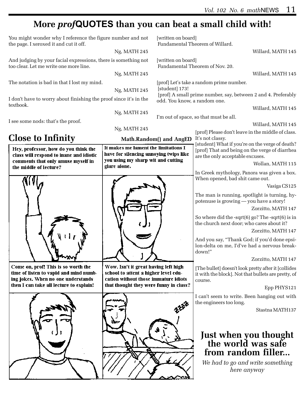# **More** *prof***QUOTES than you can beat a small child with!**

| You might wonder why I reference the figure number and not<br>the page. I xeroxed it and cut it off.                |                                                                                                                      | [written on board]<br>Fundamental Theorem of Willard. |                                                                                                                                       |
|---------------------------------------------------------------------------------------------------------------------|----------------------------------------------------------------------------------------------------------------------|-------------------------------------------------------|---------------------------------------------------------------------------------------------------------------------------------------|
|                                                                                                                     | Ng, MATH 245                                                                                                         |                                                       | Willard, MATH 145                                                                                                                     |
| And judging by your facial expressions, there is something not<br>too clear. Let me write one more line.            |                                                                                                                      | [written on board]<br>Fundamental Theorem of Nov. 20. |                                                                                                                                       |
|                                                                                                                     | Ng, MATH 245                                                                                                         |                                                       | Willard, MATH 145                                                                                                                     |
| The notation is bad in that I lost my mind.<br>Ng, MATH 245                                                         |                                                                                                                      | [student] 173!                                        | [prof] Let's take a random prime number.                                                                                              |
| I don't have to worry about finishing the proof since it's in the<br>textbook.                                      |                                                                                                                      | odd. You know, a random one.                          | [prof] A small prime number, say, between 2 and 4. Preferably                                                                         |
|                                                                                                                     | Ng, MATH 245                                                                                                         |                                                       | Willard, MATH 145                                                                                                                     |
|                                                                                                                     |                                                                                                                      |                                                       | I'm out of space, so that must be all.                                                                                                |
| I see some nods: that's the proof.                                                                                  |                                                                                                                      |                                                       | Willard, MATH 145                                                                                                                     |
|                                                                                                                     | Ng, MATH 245                                                                                                         |                                                       | [prof] Please don't leave in the middle of class.                                                                                     |
| <b>Close to Infinity</b>                                                                                            |                                                                                                                      | Math.Random() and AngED                               | It's not classy.                                                                                                                      |
| Hey, professor, how do you think the<br>class will respond to inane and idiotic                                     | It makes me lament the limitations I<br>have for silencing annoying twips like                                       |                                                       | [student] What if you're on the verge of death?<br>[prof] That and being on the verge of diarrhea<br>are the only acceptable excuses. |
| comments that only amuse myself in                                                                                  | you using my sharp wit and cutting<br>glare alone.                                                                   |                                                       | Wollan, MATH 115                                                                                                                      |
| the middle of lecture?                                                                                              |                                                                                                                      |                                                       | In Greek mythology, Panora was given a box.<br>When opened, bad shit came out.                                                        |
|                                                                                                                     |                                                                                                                      |                                                       | Vasiga CS125                                                                                                                          |
|                                                                                                                     |                                                                                                                      |                                                       | The man is running, spotlight is turning, hy-<br>potenuse is growing - you have a story!<br>Zorzitto, MATH 147                        |
|                                                                                                                     |                                                                                                                      |                                                       | So where did the -sqrt $(6)$ go? The -sqrt $(6)$ is in<br>the church next door; who cares about it?<br>Zorzitto, MATH 147             |
|                                                                                                                     |                                                                                                                      |                                                       | And you say, "Thank God; if you'd done epsi-<br>lon-delta on me, I'd've had a nervous break-<br>down!"                                |
|                                                                                                                     |                                                                                                                      |                                                       | Zorzitto, MATH 147                                                                                                                    |
| Come on, prof! This is so worth the<br>time of listen to vapid and mind numb-<br>ing jokes. When no one understands | Wow. Isn't it great having left high<br>school to attent a higher level edu-<br>cation without those immature idiots |                                                       | [The bullet] doesn't look pretty after it [collides<br>it with the block]. Not that bullets are pretty, of<br>course.                 |
| then I can take all lecture to explain!                                                                             | that thought they were funny in class?                                                                               |                                                       | Epp PHYS121                                                                                                                           |
|                                                                                                                     |                                                                                                                      |                                                       | I can't seem to write. Been hanging out with<br>the engineers too long.                                                               |
|                                                                                                                     |                                                                                                                      |                                                       | Stastna MATH137                                                                                                                       |
|                                                                                                                     |                                                                                                                      |                                                       |                                                                                                                                       |
|                                                                                                                     |                                                                                                                      |                                                       | Just when you thought<br>the world was safe                                                                                           |
|                                                                                                                     |                                                                                                                      |                                                       | from random filler                                                                                                                    |
|                                                                                                                     |                                                                                                                      |                                                       |                                                                                                                                       |
|                                                                                                                     |                                                                                                                      |                                                       | We had to go and write something<br>here anyway                                                                                       |
|                                                                                                                     |                                                                                                                      |                                                       |                                                                                                                                       |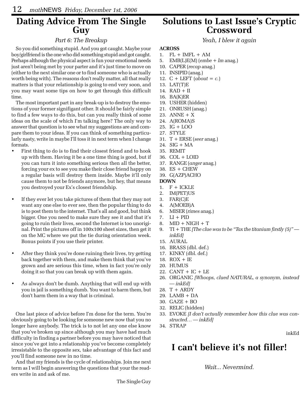## **Dating Advice From The Single Guy**

#### *Part 6: The Breakup*

So you did something stupid. And you got caught. Maybe your boy/girlfriend is the one who did something stupid and got caught. Perhaps although the physical aspect is fun your emotional needs just aren't being met by your parter and it's just time to move on (either to the next similar one or to find someone who is actually worth being with). The reasons don't really matter, all that really matters is that your relationship is going to end very soon, and you may want some tips on how to get through this difficult time.

The most important part in any break-up is to destroy the emotions of your former signifigant other. It should be fairly simple to find a few ways to do this, but can you really think of some ideas on the scale of which I'm talking here? The only way to answer that question is to see what my suggestions are and compare them to your ideas. If you can think of something particularly nasty, write in maybe I'll toss it in next term when I change formats.

- First thing to do is to find their closest friend and to hook up with them. Having it be a one time thing is good, but if you can turn it into something serious then all the better, forcing your ex to see you make their close friend happy on a regular basis will destroy them inside. Maybe it'll only cause them to not be friends anymore, but hey, that means you destroyed your Ex's closest friendship.
- If they ever let you take pictures of them that they may not want any one else to ever see, then the popular thing to do is to post them to the internet. That's all and good, but think bigger. One you need to make sure they see it and that it's going to ruin their lives, second the Internet is too unoriginal. Print the pictures off in 100x100 sheet sizes, then get it on the MC where we put the tie during orientation week. Bonus points if you use their printer.
- After they think you're done ruining their lives, try getting back together with them, and make them think that you've grown and are serious this time, when in fact you're only doing it so that you can break up with them again.
- As always don't be dumb. Anything that will end up with you in jail is something dumb. You want to harm them, but don't harm them in a way that is criminal.

One last piece of advice before I'm done for the term. You're obviously going to be looking for someone new now that you no longer have anybody. The trick is to not let any one else know that you've broken up since although you may have had much difficulty in finding a partner before you may have noticed that since you've got into a relationship you've become completely irresistable to the opposite sex, take advantage of this fact and you'll find someone new in no time.

And that my friends is the cycle of relationships. Join me next term as I will begin answering the questions that your the readers write in and ask of me.

# **Solutions to Last Issue's Cryptic Crossword**

*Yeah, I blew it again*

#### **ACROSS**

- 1. FL + IMFL + AM
- 5. EMB(L)E(M) (*embe + lm* anag.)
- 10. CAPER (*recap* anag.)
- 11. INSIPID (anag.)
- 12. C + LEFT (*about = c.*)
- 13. LAT(T)E
- 14. RAD + II
- 16. BA(K)ER
- 19. USHER (hidden)
- 21. ONRUSH (anag.)
- 23. ANNE + X
- 24. A(ROMA)S
- 25. IG + LOO
- 27. STYLE
- 31. T + ERSE (*seer* anag.)
- 24. SIG + MA
- 35. REMIT
- 36. COL + LOID
- 37. RANGE (*anger* anag.)
- 38. ES + CHEW
- 39. G(AZP)ACHO

#### **DOWN**

- 1.  $F + ICKLE$
- 2. IM(PET)US
- 3. FAR(C)E
- 4. A(MOEB)A
- 6. MISER (*rimes* anag.)
- 7.  $LI + PID$
- 8. MID + NIGH + T
- 9. TI + THE *[The clue was to be "Tax the titanium firstly (5)" inkEd]*
- 15. AURAL
- 16. BRASS (dbl. def.)
- 17. KINKY (dbl. def.)
- 18. ROX + IE
- 20. HUMUS
- 22. CANT + IC + LE
- 26. ORGANIC *[Whoops, clued NATURAL, a synonym, instead — inkEd]*
- 28. T + ARDY
- 29. LAMB + DA
- 30. GAZE + BO
- 32. RELIC (hidden)
- 33. EVOKE *[I don't actually remember how this clue was constructed… — inkEd]*
- 34. STRAP

#### inkEd

# **I can't believe it's not filler!**

*Wait... Nevermind.*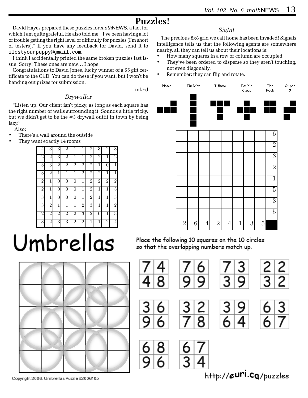# **Puzzles!**

David Hayes prepared these puzzles for *math*NEWS, a fact for which I am quite grateful. He also told me, "I've been having a lot of trouble getting the right level of difficulty for puzzles (I'm short of testers)." If you have any feedback for David, send it to ilostyourpuppy@gmail.com.

I think I accidentally printed the same broken puzzles last issue. Sorry! These ones are new… I hope.

Congratulations to David Jones, lucky winner of a \$5 gift certificate to the C&D. You can do these if you want, but I won't be handing out prizes for submission.

#### inkEd

#### *Drywaller*

"Listen up. Our client isn't picky, as long as each square has the right number of walls surrounding it. Sounds a little tricky, but we didn't get to be the #3 drywall outfit in town by being lazy."

Also:

- There's a wall around the outside
- They want exactly 14 rooms



# Umbrellas



Copyright 2006. Umbrellas Puzzle #2006105

#### *SigInt*

The precious 8x8 grid we call home has been invaded! Signals intelligence tells us that the following agents are somewhere nearby, all they can tell us about their locations is:

- How many squares in a row or column are occupied
- They've been ordered to disperse so they aren't touching, not even diagonally.
- Remember: they can flip and rotate.



Place the following 10 squares on the 10 circles so that the overlapping numbers match up.



http://euri.cg/puzzles